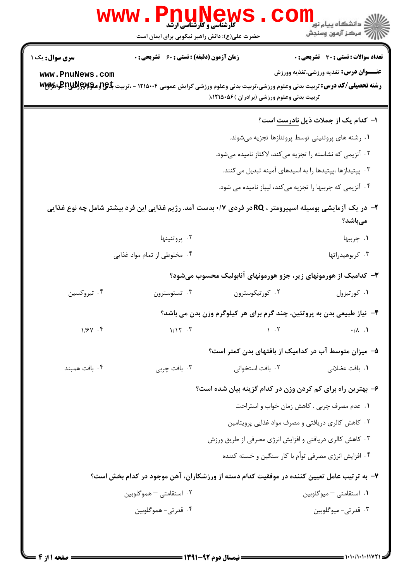|                        | www .<br><b>کارشناسی و کارشناسی ارشد</b><br>حضرت علی(ع): دانش راهبر نیکویی برای ایمان است |                                            | د دانشڪاه پيام نو <mark>ر</mark><br>7- مرڪز آزمون وسنڊش                                                                                                                                        |
|------------------------|-------------------------------------------------------------------------------------------|--------------------------------------------|------------------------------------------------------------------------------------------------------------------------------------------------------------------------------------------------|
| <b>سری سوال :</b> یک ۱ | <b>زمان آزمون (دقیقه) : تستی : 60 ٪ تشریحی : 0</b>                                        |                                            | <b>تعداد سوالات : تستی : 30 ٪ تشریحی : 0</b>                                                                                                                                                   |
| www.PnuNews.com        |                                                                                           | تربیت بدنی وعلوم ورزشی (برادران )۸۲۱۵۰۵۶ ( | <b>عنـــوان درس:</b> تغذیه ورزشی،تغذیه وورزش<br><b>رشته تحصیلی/کد درس:</b> تربیت بدنی وعلوم ورزشی،تربیت بدنی وعلوم ورزشی گرایش عمومی ۱۲۱۵۰۰۴ - ،تربیت <del>با PC و Wyly</del> گو <b>، Myly</b> |
|                        |                                                                                           |                                            | ا– کدام یک از جملات ذیل <u>نادرست</u> است؟                                                                                                                                                     |
|                        |                                                                                           |                                            | ۰۱ رشته های پروتئینی توسط پروتئازها تجزیه میشوند.                                                                                                                                              |
|                        |                                                                                           |                                            | ۰۲ آنزیمی که نشاسته را تجزیه میکند، لاکتاز نامیده میشود.                                                                                                                                       |
|                        |                                                                                           |                                            | ۰۳ پپتیدازها ،پپتیدها را به اسیدهای آمینه تبدیل میکنند.                                                                                                                                        |
|                        |                                                                                           |                                            | ۰۴ آنزیمی که چربیها را تجزیه میکند، لیپاز نامیده می شود.                                                                                                                                       |
|                        |                                                                                           |                                            | ۲- در یک آزمایشی بوسیله اسپیرومتر ، RQدر فردی ۰/۷+بدست آمد. رژیم غذایی این فرد بیشتر شامل چه نوع غذایی<br>مىباشد؟                                                                              |
|                        | ۰۲ پروتئينها                                                                              |                                            | ۰۱ چربیها                                                                                                                                                                                      |
|                        | ۰۴ مخلوطی از تمام مواد غذایی                                                              |                                            | ۰۳ کربوهیدراتها                                                                                                                                                                                |
|                        |                                                                                           |                                            | ۳- کدامیک از هورمونهای زیر، جزو هورمونهای آنابولیک محسوب میشود؟                                                                                                                                |
| ۰۴ تیروکسین            | ۰۳ تستوسترون                                                                              | ۰۲ کورتیکوسترون                            | ٠١ كورتيزول                                                                                                                                                                                    |
|                        |                                                                                           |                                            | ۴- نیاز طبیعی بدن به پروتئین، چند گرم برای هر کیلوگرم وزن بدن می باشد؟                                                                                                                         |
| $1/5V$ . ۴             | 1/17.7                                                                                    | 1.7                                        | $\cdot/\lambda$ .1                                                                                                                                                                             |
|                        |                                                                                           |                                            | ۵– میزان متوسط آب در کدامیک از بافتهای بدن کمتر است؟                                                                                                                                           |
| ۰۴ بافت همبند          | ۰۳ بافت چربی                                                                              | ۰۲ بافت استخوانی                           | ۰۱ بافت عضلان <sub>ی</sub>                                                                                                                                                                     |
|                        |                                                                                           |                                            | ۶– بهترین راه برای کم کردن وزن در کدام گزینه بیان شده است؟                                                                                                                                     |
|                        |                                                                                           |                                            | ٠١ عدم مصرف چربي . كاهش زمان خواب و استراحت                                                                                                                                                    |
|                        |                                                                                           |                                            | ۰۲ کاهش کالری دریافتی و مصرف مواد غذایی پرویتامین                                                                                                                                              |
|                        |                                                                                           |                                            | ۰۳ کاهش کالری دریافتی و افزایش انرژی مصرفی از طریق ورزش                                                                                                                                        |
|                        |                                                                                           |                                            | ۰۴ افزایش انرژی مصرفی توأم با کار سنگین و خسته کننده                                                                                                                                           |
|                        |                                                                                           |                                            | ۷– به ترتیب عامل تعیین کننده در موفقیت کدام دسته از ورزشکاران، آهن موجود در کدام بخش است؟                                                                                                      |
|                        | ۰۲ استقامتی – هموگلوبین                                                                   |                                            | 1. استقامتی – میوگلوبین                                                                                                                                                                        |
|                        | ۰۴ قدرتی- هموگلوبین                                                                       |                                            | ۰۳ قدرتی- میوگلوبین                                                                                                                                                                            |
|                        |                                                                                           |                                            |                                                                                                                                                                                                |
|                        |                                                                                           |                                            |                                                                                                                                                                                                |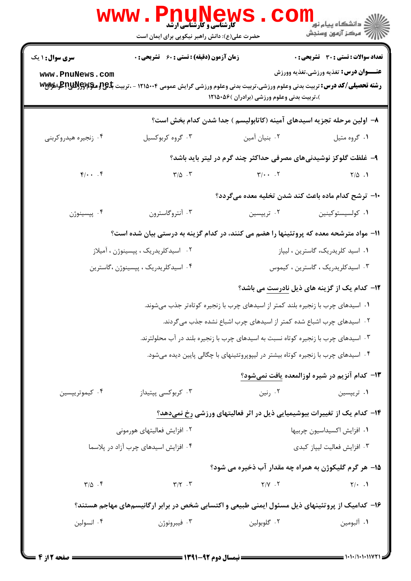|                         | <b>FUUNEWS</b><br><b>WWW</b><br><b>5 کارشناسی و کارشناسی ارشد</b><br>حضرت علی(ع): دانش راهبر نیکویی برای ایمان است                 |                                                                                    | ر دانشگاه پیام نور ■<br>ارا⇔ مرکز آزمون وسنجش        |  |
|-------------------------|------------------------------------------------------------------------------------------------------------------------------------|------------------------------------------------------------------------------------|------------------------------------------------------|--|
| <b>سری سوال : ۱ یک</b>  | <b>زمان آزمون (دقیقه) : تستی : 60 ٪ تشریحی : 0</b>                                                                                 |                                                                                    | <b>تعداد سوالات : تستی : 30 ٪ تشریحی : 0</b>         |  |
| www.PnuNews.com         | <b>رشته تحصیلی/کد درس:</b> تربیت بدنی وعلوم ورزشی،تربیت بدنی وعلوم ورزشی گرایش عمومی ۱۲۱۵۰۰۴ - ،تربیت <del>با Pg و Vy</del> w وVyw | )،تربیت بدنی وعلوم ورزشی (برادران )۸۶۰۵۶ (                                         | <b>عنـــوان درس:</b> تغذیه ورزشی،تغذیه وورزش         |  |
|                         |                                                                                                                                    | ۸– اولین مرحله تجزیه اسیدهای آمینه (کاتابولیسم ) جدا شدن کدام بخش است؟             |                                                      |  |
| ۰۴ زنجيره هيدروكربني    | ۰۳ گروه کربوکسیل                                                                                                                   | ۰۲ بنیان آمین                                                                      | ۰۱ گروه متيل                                         |  |
|                         |                                                                                                                                    | ۹– غلظت گلوکز نوشیدنیهای مصرفی حداکثر چند گرم در لیتر باید باشد؟                   |                                                      |  |
| $f/\cdot \cdot \cdot f$ | $\Gamma/\Delta$ .                                                                                                                  | $\mathbf{Y}/\cdot \cdot \cdot \cdot \mathbf{Y}$                                    | $Y/\Delta$ .                                         |  |
|                         |                                                                                                                                    | ∙ا− ترشح کدام ماده باعث کند شدن تخلیه معده میگردد؟                                 |                                                      |  |
| ۰۴ پپسینوژن             | ۰۳ آنتروگاسترون                                                                                                                    | ۰۲ تریپسین                                                                         | ٠١ كولسيستوكينين                                     |  |
|                         | 11– مواد مترشحه معده که پروتئینها را هضم می کنند، در کدام گزینه به درستی بیان شده است؟                                             |                                                                                    |                                                      |  |
|                         | ۰۲ اسیدکلریدریک ، پپسینوژن ، آمیلاز                                                                                                |                                                                                    | ۰۱ اسید کلریدریک، گاسترین ، لیپاز                    |  |
|                         | ۰۴ اسیدکلریدریک ، پپسینوژن ،گاسترین                                                                                                | ۰۳ اسیدکلریدریک ، گاسترین ، کیموس                                                  |                                                      |  |
|                         |                                                                                                                                    |                                                                                    | <b>۱۲</b> - کدام یک از گزینه های ذیل نادرست می باشد؟ |  |
|                         |                                                                                                                                    | ۰۱ اسیدهای چرب با زنجیره بلند کمتر از اسیدهای چرب با زنجیره کوتاهتر جذب میشوند.    |                                                      |  |
|                         |                                                                                                                                    | ۰۲ اسیدهای چرب اشباع شده کمتر از اسیدهای چرب اشباع نشده جذب میگردند.               |                                                      |  |
|                         |                                                                                                                                    | ۰۳ اسیدهای چرب با زنجیره کوتاه نسبت به اسیدهای چرب با زنجیره بلند در آب محلولترند. |                                                      |  |
|                         |                                                                                                                                    | ۰۴ اسیدهای چرب با زنجیره کوتاه بیشتر در لیپوپروتئینهای با چگالی پایین دیده میشود.  |                                                      |  |
|                         |                                                                                                                                    |                                                                                    | ۱۳– کدام آنزیم در شیره لوزالمعده یافت نمیشود؟        |  |
| ۰۴ کیموتریپسین          | ۰۳ کربوکسی پپتیداز                                                                                                                 | ۰۲ رنین                                                                            | ۰۱ تریپسین                                           |  |
|                         |                                                                                                                                    | ۱۴– کدام یک از تغییرات بیوشیمیایی ذیل در اثر فعالیتهای ورزشی رخ نمیدهد؟            |                                                      |  |
|                         | ۰۲ افزایش فعالیتهای هورمونی                                                                                                        |                                                                                    | ٠١ افزايش اكسيداسيون چربيها                          |  |
|                         | ۰۴ افزایش اسیدهای چرب آزاد در پلاسما                                                                                               | ۰۳ افزایش فعالیت لیپاز کبدی                                                        |                                                      |  |
|                         |                                                                                                                                    | 1۵- هر گرم گلیکوژن به همراه چه مقدار آب ذخیره می شود؟                              |                                                      |  |
| $\Gamma/\Delta$ .       | $\Upsilon/\Upsilon$ .                                                                                                              | $Y/Y$ . $Y$                                                                        | $Y/\cdot$ .                                          |  |
|                         | ۱۶- کدامیک از پروتئینهای ذیل مسئول ایمنی طبیعی و اکتسابی شخص در برابر ارگانیسمهای مهاجم هستند؟                                     |                                                                                    |                                                      |  |
| ۰۴ انسولین              | ۰۳ فيبرونوژن                                                                                                                       | ۰۲ گلوبولين                                                                        | ٠١. آلبومين                                          |  |
|                         |                                                                                                                                    |                                                                                    |                                                      |  |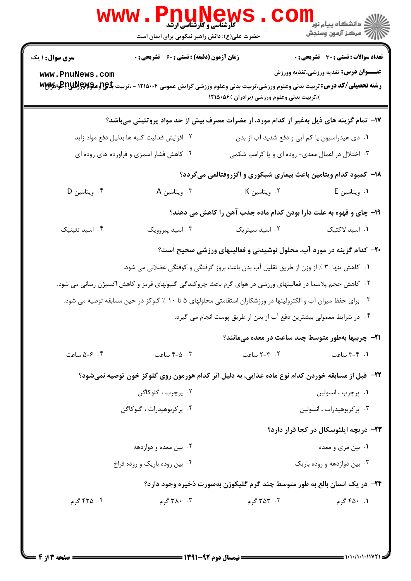|                                           | WWW . PILUNGW<br>حضرت علی(ع): دانش راهبر نیکویی برای ایمان است                                                                                                                                                                                               |                                                                                                                                                                                                                                                                                                                                      | ڪ دانشڪاه پيا <sub>م</sub> نور<br>7ء مرڪز آزمون وسنڊش                                                                                                                |
|-------------------------------------------|--------------------------------------------------------------------------------------------------------------------------------------------------------------------------------------------------------------------------------------------------------------|--------------------------------------------------------------------------------------------------------------------------------------------------------------------------------------------------------------------------------------------------------------------------------------------------------------------------------------|----------------------------------------------------------------------------------------------------------------------------------------------------------------------|
| <b>سری سوال : ۱ یک</b><br>www.PnuNews.com | <b>زمان آزمون (دقیقه) : تستی : 60 ٪ تشریحی : 0</b><br><b>رشته تحصیلی/کد درس:</b> تربیت بدنی وعلوم ورزشی،تربیت بدنی وعلوم ورزشی گرایش عمومی ۱۲۱۵۰۰۴ - ،تربیت <del>با Pg و Vy</del> R وVyT وVyT                                                                | )،تربیت بدنی وعلوم ورزشی (برادران )۵۶۰۵۶ (                                                                                                                                                                                                                                                                                           | <b>تعداد سوالات : تستی : 30 ٪ تشریحی : 0</b><br><b>عنـــوان درس:</b> تغذیه ورزشی،تغذیه وورزش                                                                         |
| ۰۴ ويتامين D                              | ۱۷– تمام گزینه های ذیل بهغیر از کدام مورد، از مضرات مصرف بیش از حد مواد پروتئینی میباشد؟<br>۰۲ افزایش فعالیت کلیه ها بدلیل دفع مواد زاید<br>۰۴ کاهش فشار اسمزی و فراورده های روده ای<br>۰۳ ویتامین A                                                         | ۰۱ دی هیدراسیون یا کم آبی و دفع شدید آب از بدن<br>۰۳ اختلال در اعمال معدی- روده ای و یا کرامپ شکمی<br>۱۸- کمبود کدام ویتامین باعث بیماری شبکوری و اگزروفتالمی میگردد؟<br>۰۲ ویتامین K<br>۱۹- چای و قهوه به علت دارا بودن کدام ماده جذب آهن را کاهش می دهند؟                                                                          | ۰۱ ویتامین E                                                                                                                                                         |
| ۰۴ اسید تئینیک<br>۰۴ - ۵-۵ ساعت           | ۰۳ اسید پیروویک<br>۰۲ کاهش حجم پلاسما در فعالیتهای ورزشی در هوای گرم باعث چروکیدگی گلبولهای قرمز و کاهش اکسیژن رسانی می شود.<br>۰۳ برای حفظ میزان آب و الکترولیتها در ورزشکاران استقامتی محلولهای ۵ تا ۱۰ ٪ گلوکز در حین مسابقه توصیه می شود.<br>۰۳ ه-۴ ساعت | ۰۲ اسید سیتریک<br>+۲- کدام گزینه در مورد آب، محلول نوشیدنی و فعالیتهای ورزشی صحیح است؟<br>۰۱ کاهش تنها ۳ ٪ از وزن از طریق تقلیل آب بدن باعث بروز گرفتگی و کوفتگی عضلانی می شود.<br>۰۴ در شرایط معمولی بیشترین دفع آب از بدن از طریق پوست انجام می گیرد.<br><b>۲۱</b> - چربیها بهطور متوسط چند ساعت در معده میمانند؟<br>۰۲ - ۲-۲ ساعت | ٠١ اسيد لاكتيک<br>۰۱ - ۳-۳ ساعت                                                                                                                                      |
| ۴. ۴۲۵ گرم                                | ۲۲- قبل از مسابقه خوردن کدام نوع ماده غذایی، به دلیل اثر کدام هورمون روی گلوکز خون توصیه نمیشود؟<br>۲. پرچرب ، گلوکاگن<br>۰۴ پر کربوهیدرات ، گلوکاگن<br>۰۲ بین معده و دوازدهه<br>۰۴ بین روده باریک و روده فراخ<br>۰۴ ۰ کرم                                   | ۲۴- در یک انسان بالغ به طور متوسط چند گرم گلیکوژن بهصورت ذخیره وجود دارد؟<br>۲. ۳۵۳ گرم                                                                                                                                                                                                                                              | ٠١. پرچرب ، انسولين<br>۰۳ پرکربوهیدرات ، انسولین<br><b>۲۳</b> - دریچه ایلئوسکال در کجا قرار دارد؟<br>۰۱ بین مری و معده<br>۰۳ بین دوازدهه و روده باریک<br>۰۱. ۴۵۰ گرم |